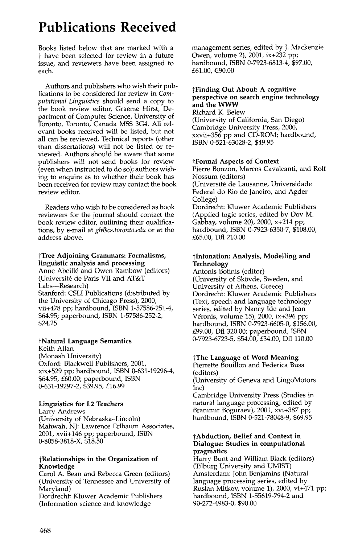# **Publications Received**

Books listed below that are marked with a have been selected for review in a future issue, and reviewers have been assigned to each.

Authors and publishers who wish their publications to be considered for review in *Computational Linguistics* should send a copy to the book review editor, Graeme Hirst, Department of Computer Science, University of Toronto, Toronto, Canada M5S 3G4. All relevant books received will be listed, but not all can be reviewed. Technical reports (other than dissertations) will not be listed or reviewed. Authors should be aware that some publishers will not send books for review (even when instructed to do so); authors wishing to enquire as to whether their book has been received for review may contact the book review editor.

Readers who wish to be considered as book reviewers for the journal should contact the book review editor, outlining their qualifications, by e-mail at *gh@cs.toronto.edu* or at the address above.

# **tTree Adjoining Grammars: Formalisms, linguistic analysis and processing**

Anne Abeillé and Owen Rambow (editors) (Universit6 de Paris VII and AT&T Labs--Research) Stanford: CSLI Publications (distributed by the University of Chicago Press), 2000, vii+478 pp; hardbound, ISBN 1-57586-251-4, \$64.95; paperbound, ISBN 1-57586-252-2, \$24.25

# **~Natural Language Semantics**

Keith Allan (Monash University) Oxford: Blackwell Publishers, 2001, xix+529 pp; hardbound, ISBN 0-631-19296-4, \$64.95, £60.00; paperbound, ISBN 0-631-19297-2, \$39.95, £16.99

## **Linguistics for L2 Teachers**

Larry Andrews (University of Nebraska-Lincoln) Mahwah, NJ: Lawrence Erlbaum Associates, 2001, xvii+146 pp; paperbound, ISBN 0-8058-3818-X, \$18.50

### **tRelationships in the Organization of Knowledge**

Carol A. Bean and Rebecca Green (editors) (University of Tennessee and University of Maryland)

Dordrecht: Kluwer Academic Publishers (Information science and knowledge

management series, edited by J. Mackenzie Owen, volume 2), 2001, ix+232 pp; hardbound, ISBN 0-7923-6813-4, \$97.00, £61.00, €90.00

## **tFinding Out About: A cognitive perspective on search engine technology and the WWW**

Richard K. Belew (University of California, San Diego) Cambridge University Press, 2000, xxvii+356 pp and CD-ROM; hardbound, ISBN 0-521-63028-2, \$49.95

## **~Formal Aspects of Context**

Pierre Bonzon, Marcos Cavalcanti, and Rolf Nossum (editors) (Universit6 de Lausanne, Universidade Federal do Rio de Janeiro, and Agder College) Dordrecht: Kluwer Academic Publishers (Applied logic series, edited by Dov M. Gabbay, volume 20), 2000, x+214 pp; hardbound, ISBN 0-7923-6350-7, \$108.00, £65.00, Dfl 210.00

## **~Intonation: Analysis, Modelling and Technology**

Antonis Botinis (editor) (University of Skövde, Sweden, and University of Athens, Greece) Dordrecht: Kluwer Academic Publishers (Text, speech and language technology series, edited by Nancy Ide and Jean Veronis, volume 15), 2000, ix+396 pp; hardbound, ISBN 0-7923-6605-0, \$156.00, £99.00, Dfl 320.00; paperbound, ISBN 0-7923-6723-5, \$54.00, £34.00, Dfl 110.00

## **tThe Language of Word Meaning**

Pierrette Bouillon and Federica Busa (editors)

(University of Geneva and LingoMotors Inc)

Cambridge University Press (Studies in natural language processing, edited by Branimir Boguraev), 2001, xvi+387 pp; hardbound, ISBN 0-521-78048-9, \$69.95

### **tAbduction, Belief and Context in Dialogue: Studies in computational pragmatics**

Harry Bunt and William Black (editors) (Tilburg University and UMIST) Amsterdam: John Benjamins (Natural language processing series, edited by Ruslan Mitkov, volume 1), 2000, vi+471 pp; hardbound, ISBN 1-55619-794-2 and 90-272-4983-0, \$90.00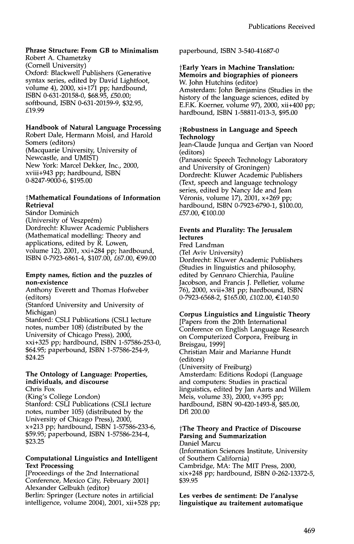# **Phrase Structure: From GB to Minimalism**

Robert A. Chametzky (Cornell University) Oxford: Blackwell Publishers (Generative syntax series, edited by David Lightfoot, volume 4), 2000, xi+171 pp; hardbound, ISBN 0-631-20158-0, \$68.95, £50.00; softbound, ISBN 0-631-20159-9, \$32.95, £19.99

## **Handbook of Natural Language Processing**

Robert Dale, Hermann Moisl, and Harold Somers (editors) (Macquarie University, University of Newcastle, and UMIST) New York: Marcel Dekker, Inc., 2000, xviii+943 pp; hardbound, ISBN 0-8247-9000-6, \$195.00

## **tMathematical Foundations of Information Retrieval**

Sándor Dominich (University of Veszprém) Dordrecht: Kluwer Academic Publishers (Mathematical modelling: Theory and applications, edited by R. Lowen, volume 12), 2001, xxi+284 pp; hardbound, ISBN 0-7923-6861-4, \$107.00, £67.00, €99.00

#### **Empty names, fiction and the puzzles of non-existence**

Anthony Everett and Thomas Hofweber (editors)

(Stanford University and University of Michigan)

Stanford: CSLI Publications (CSLI lecture notes, number 108) (distributed by the University of Chicago Press), 2000, xxi+325 pp; hardbound, ISBN *1-57586-253-0,*  \$64.95; paperbound, ISBN 1-57586-254-9, \$24.25

# **The Ontology of Language: Properties, individuals, and discourse**

Chris Fox (King's College London) Stanford: CSLI Publications (CSLI lecture notes, number 105) (distributed by the University of Chicago Press), 2000, x+213 pp; hardbound, ISBN 1-57586-233-6, \$59.95; paperbound, ISBN 1-57586-234-4, \$23.25

## **Computational Linguistics and Intelligent Text Processing**

[Proceedings of the 2nd International Conference, Mexico City, February 2001] Alexander Gelbukh (editor) Berlin: Springer (Lecture notes in artificial intelligence, volume 2004), 2001, xii+528 pp; paperbound, ISBN 3-540-41687-0

#### **tEarly Years in Machine Translation: Memoirs and biographies of pioneers**  W. John Hutchins (editor)

Amsterdam: John Benjamins (Studies in the history of the language sciences, edited by E.EK. Koerner, volume 97), 2000, xii+400 pp; hardbound, ISBN 1-58811-013-3, \$95.00

### **tRobustness in Language and Speech Technology**

Jean-Claude Junqua and Gertjan van Noord (editors) (Panasonic Speech Technology Laboratory and University of Groningen) Dordrecht: Kluwer Academic Publishers (Text, speech and language technology series, edited by Nancy Ide and Jean Véronis, volume 17), 2001, x+269 pp; hardbound, ISBN 0-7923-6790-1, \$100.00, £57.00, €100.00

## **Events and Plurality: The Jerusalem lectures**

Fred Landman (Tel Aviv University) Dordrecht: Kluwer Academic Publishers (Studies in linguistics and philosophy, edited by Gennaro Chierchia, Pauline Jacobson, and Francis J. Pelletier, volume 76), 2000, xvii+381 pp; hardbound, ISBN 0-7923-6568-2, \$165.00, £102.00, €140.50

## **Corpus Linguistics and Linguistic Theory**

[Papers from the 20th International Conference on English Language Research on Computerized Corpora, Freiburg in Breisgau, 1999] Christian Mair and Marianne Hundt (editors) (University of Freiburg) Amsterdam: Editions Rodopi (Language and computers: Studies in practical linguistics, edited by Jan Aarts and Willem Meis, volume 33), 2000, v+395 pp; hardbound, ISBN 90-420-1493-8, \$85.00, Dfl 200.00

## **tThe Theory and Practice of Discourse Parsing and Summarization**

Daniel Marcu (Information Sciences Institute, University of Southern California) Cambridge, MA: The MIT Press, 2000, xix+248 pp; hardbound, 1SBN 0-262-13372-5, \$39.95

**Les verbes de sentiment: De l'analyse linguistique au traitement automatique**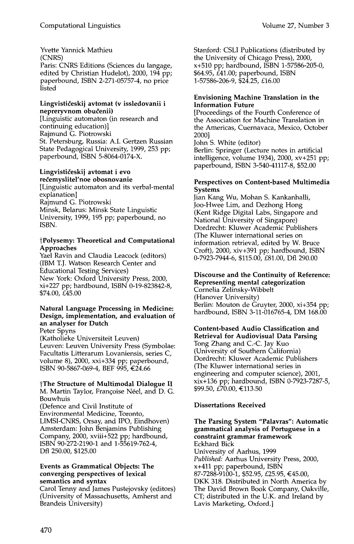Yvette Yannick Mathieu (CNRS)

Paris: CNRS Editions (Sciences du langage, edited by Christian Hudelot), 2000, 194 pp; paperbound, ISBN 2-271-05757-4, no price listed

### **Lingvisti~eskij avtomat (v issledovanii** i nepreryvnom obučenii)

[Linguistic automaton (in research and continuing education)] Rajmund G. Piotrowski St. Petersburg, Russia: A.I. Gertzen Russian State Pedagogical University, 1999, 253 pp; paperbound, ISBN 5-8064-0174-X.

#### **Lingvisti~eskij avtomat i evo**   $rečemyslitel'noe obosnovanie$

[Linguistic automaton and its verbal-mental explanation] Rajmund G. Piotrowski Minsk, Belarus: Minsk State Linguistic University, 1999, 195 pp; paperbound, no ISBN.

## **~Polysemy: Theoretical and Computational Approaches**

Yael Ravin and Claudia Leacock (editors) (IBM T.J. Watson Research Center and Educational Testing Services) New York: Oxford University Press, 2000, xi+227 pp; hardbound, ISBN 0-19-823842-8, \$74.00, £45.00

## **Natural Language Processing in Medicine: Design, implementation, and evaluation of an analyser for Dutch**

Peter Spyns (Katholieke Universiteit Leuven) Leuven: Leuven University Press (Symbolae: Facultatis Litterarum Lovaniensis, series C, volume 8), 2000, xxi+334 pp; paperbound, ISBN 90-5867-069-4, BEF 995, €24.66

### **~The Structure of Multimodal Dialogue II**

M. Martin Taylor, Françoise Néel, and D. G. Bouwhuis (Defence and Civil Institute of

Environmental Medicine, Toronto, LIMSI-CNRS, Orsay, and IPO, Eindhoven) Amsterdam: John Benjamins Publishing Company, 2000, xviii+522 pp; hardbound, ISBN 90-272-2190-1 and 1-55619-762-4, Dfl 250.00, \$125.00

#### **Events as Grammatical Objects: The converging perspectives of lexical semantics and syntax**

Carol Tenny and James Pustejovsky (editors) (University of Massachusetts, Amherst and Brandeis University)

Stanford: CSLI Publications (distributed by the University of Chicago Press), 2000, x+510 pp; hardbound, ISBN 1-57586-205-0, \$64.95, £41.00; paperbound, ISBN 1-57586-206-9, \$24.25, £16.00

### **Envisioning Machine Translation in the Information Future**

[Proceedings of the Fourth Conference of the Association for Machine Translation in the Americas, Cuernavaca, Mexico, October 2000]

John S. White (editor) Berlin: Springer (Lecture notes in artificial intelligence, volume 1934), 2000, xv+251 pp; paperbound, ISBN 3-540-41117-8, \$52.00

#### **Perspectives on Content-based Multimedia Systems**

Jian Kang Wu, Mohan S. Kankanhalli, Joo-Hwee Lim, and Dezhong Hong (Kent Ridge Digital Labs, Singapore and National University of Singapore) Dordrecht: Kluwer Academic Publishers (The Kluwer international series on information retrieval, edited by W. Bruce Croft), 2000, xiv+391 pp; hardbound, ISBN 0-7923-7944-6, \$115.00, £81.00, Dfl 290.00

#### **Discourse and the Continuity of Reference: Representing mental categorization**

Cornelia Zelinsky-Wibbelt (Hanover University) Berlin: Mouton de Gruyter, 2000, xi+354 pp; hardbound, ISBN 3-11-016765-4, DM 168.00

# **Content-based Audio Classification and Retrieval for Audiovisual Data Parsing**  Tong Zhang and C.-C. Jay Kuo

(University of Southern California) Dordrecht: Kluwer Academic Publishers (The Kluwer international series in engineering and computer science), 2001, xix+136 pp; hardbound, ISBN 0-7923-7287-5, \$99.50, £70.00, €113.50

# **Dissertations Received**

#### **The Parsing System "Palavras': Automatic grammatical analysis of Portuguese in** a **constraint grammar framework**  Eckhard Bick University of Aarhus, 1999

*Published:* Aarhus University Press, 2000, x+411 pp; paperbound, ISBN 87-7288-9100-1, \$52.95, £25.95, €45.00, DKK 318. Distributed in North America by The David Brown Book Company, Oakville, CT; distributed in the U.K. and Ireland by Lavis Marketing, Oxford.]